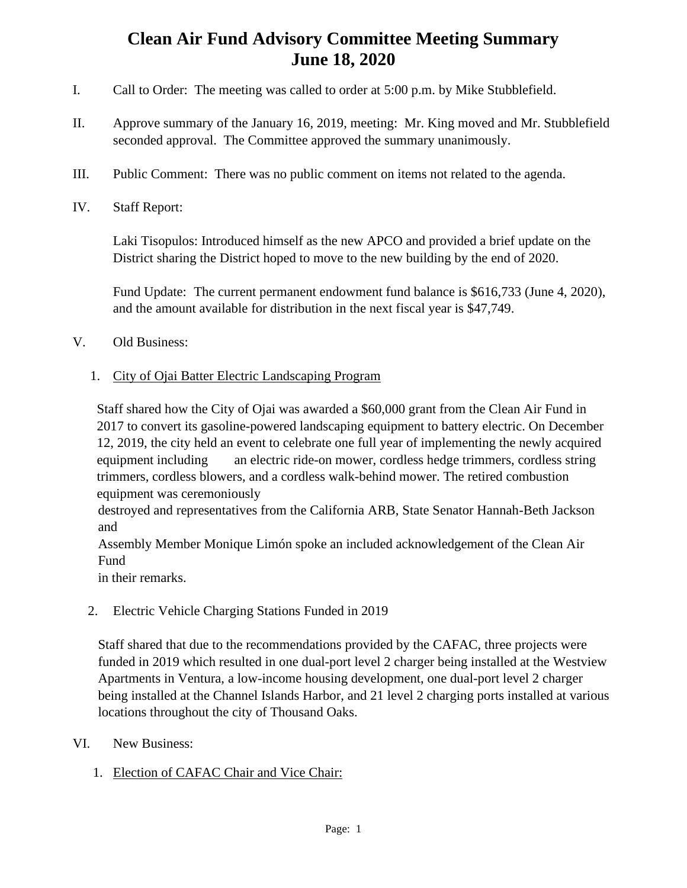## **Clean Air Fund Advisory Committee Meeting Summary June 18, 2020**

- I. Call to Order: The meeting was called to order at 5:00 p.m. by Mike Stubblefield.
- II. Approve summary of the January 16, 2019, meeting: Mr. King moved and Mr. Stubblefield seconded approval. The Committee approved the summary unanimously.
- III. Public Comment: There was no public comment on items not related to the agenda.
- IV. Staff Report:

Laki Tisopulos: Introduced himself as the new APCO and provided a brief update on the District sharing the District hoped to move to the new building by the end of 2020.

Fund Update: The current permanent endowment fund balance is \$616,733 (June 4, 2020), and the amount available for distribution in the next fiscal year is \$47,749.

- V. Old Business:
	- 1. City of Ojai Batter Electric Landscaping Program

Staff shared how the City of Ojai was awarded a \$60,000 grant from the Clean Air Fund in 2017 to convert its gasoline-powered landscaping equipment to battery electric. On December 12, 2019, the city held an event to celebrate one full year of implementing the newly acquired equipment including an electric ride-on mower, cordless hedge trimmers, cordless string trimmers, cordless blowers, and a cordless walk-behind mower. The retired combustion equipment was ceremoniously

destroyed and representatives from the California ARB, State Senator Hannah-Beth Jackson and

Assembly Member Monique Limón spoke an included acknowledgement of the Clean Air Fund

in their remarks.

2. Electric Vehicle Charging Stations Funded in 2019

Staff shared that due to the recommendations provided by the CAFAC, three projects were funded in 2019 which resulted in one dual-port level 2 charger being installed at the Westview Apartments in Ventura, a low-income housing development, one dual-port level 2 charger being installed at the Channel Islands Harbor, and 21 level 2 charging ports installed at various locations throughout the city of Thousand Oaks.

- VI. New Business:
	- 1. Election of CAFAC Chair and Vice Chair: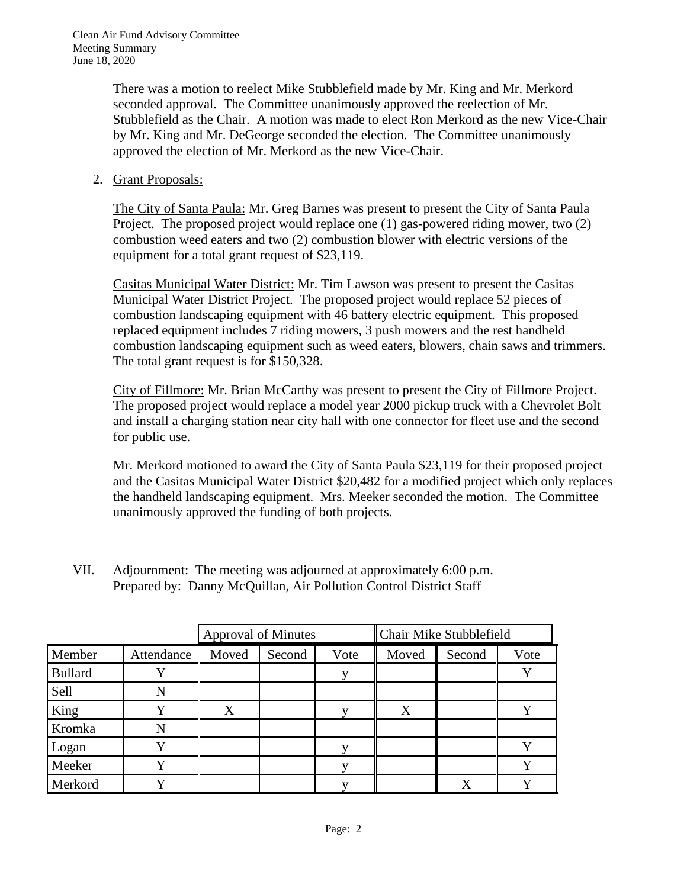There was a motion to reelect Mike Stubblefield made by Mr. King and Mr. Merkord seconded approval. The Committee unanimously approved the reelection of Mr. Stubblefield as the Chair. A motion was made to elect Ron Merkord as the new Vice-Chair by Mr. King and Mr. DeGeorge seconded the election. The Committee unanimously approved the election of Mr. Merkord as the new Vice-Chair.

2. Grant Proposals:

The City of Santa Paula: Mr. Greg Barnes was present to present the City of Santa Paula Project. The proposed project would replace one (1) gas-powered riding mower, two (2) combustion weed eaters and two (2) combustion blower with electric versions of the equipment for a total grant request of \$23,119.

Casitas Municipal Water District: Mr. Tim Lawson was present to present the Casitas Municipal Water District Project. The proposed project would replace 52 pieces of combustion landscaping equipment with 46 battery electric equipment. This proposed replaced equipment includes 7 riding mowers, 3 push mowers and the rest handheld combustion landscaping equipment such as weed eaters, blowers, chain saws and trimmers. The total grant request is for \$150,328.

City of Fillmore: Mr. Brian McCarthy was present to present the City of Fillmore Project. The proposed project would replace a model year 2000 pickup truck with a Chevrolet Bolt and install a charging station near city hall with one connector for fleet use and the second for public use.

Mr. Merkord motioned to award the City of Santa Paula \$23,119 for their proposed project and the Casitas Municipal Water District \$20,482 for a modified project which only replaces the handheld landscaping equipment. Mrs. Meeker seconded the motion. The Committee unanimously approved the funding of both projects.

VII. Adjournment: The meeting was adjourned at approximately 6:00 p.m. Prepared by: Danny McQuillan, Air Pollution Control District Staff

|                |            | <b>Approval of Minutes</b> |        |      | Chair Mike Stubblefield |        |      |
|----------------|------------|----------------------------|--------|------|-------------------------|--------|------|
| Member         | Attendance | Moved                      | Second | Vote | Moved                   | Second | Vote |
| <b>Bullard</b> |            |                            |        |      |                         |        |      |
| Sell           | N          |                            |        |      |                         |        |      |
| King           |            | X                          |        |      | X                       |        |      |
| Kromka         |            |                            |        |      |                         |        |      |
| Logan          |            |                            |        |      |                         |        |      |
| Meeker         |            |                            |        |      |                         |        |      |
| Merkord        |            |                            |        |      |                         | X      |      |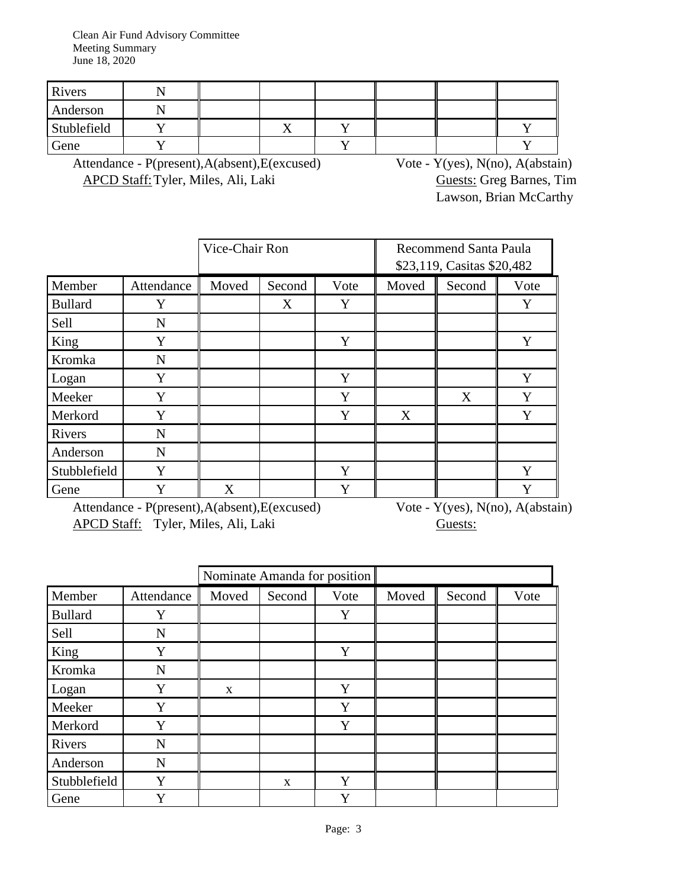Clean Air Fund Advisory Committee Meeting Summary June 18, 2020

| Rivers      |  |  |  |  |
|-------------|--|--|--|--|
| Anderson    |  |  |  |  |
| Stublefield |  |  |  |  |
| Gene        |  |  |  |  |

Attendance - P(present),A(absent),E(excused) Vote - Y(yes), N(no), A(abstain) APCD Staff: Tyler, Miles, Ali, Laki Guests: Greg Barnes, Tim

Lawson, Brian McCarthy

|                |            | Vice-Chair Ron          |   |   | <b>Recommend Santa Paula</b><br>\$23,119, Casitas \$20,482 |        |      |
|----------------|------------|-------------------------|---|---|------------------------------------------------------------|--------|------|
| Member         | Attendance | Moved<br>Second<br>Vote |   |   | Moved                                                      | Second | Vote |
| <b>Bullard</b> | Y          |                         | X | Y |                                                            |        | Y    |
| Sell           | N          |                         |   |   |                                                            |        |      |
| King           | Y          |                         |   | Y |                                                            |        | Y    |
| Kromka         | N          |                         |   |   |                                                            |        |      |
| Logan          | Y          |                         |   | Y |                                                            |        | Y    |
| Meeker         | Y          |                         |   | Y |                                                            | X      | Y    |
| Merkord        | Y          |                         |   | Y | X                                                          |        | Y    |
| Rivers         | N          |                         |   |   |                                                            |        |      |
| Anderson       | N          |                         |   |   |                                                            |        |      |
| Stubblefield   | Y          |                         |   | Y |                                                            |        | Y    |
| Gene           | Y          | X                       |   | Y |                                                            |        | Y    |

Attendance - P(present),A(absent),E(excused) Vote - Y(yes), N(no), A(abstain) APCD Staff: Tyler, Miles, Ali, Laki Guests:

|                |            | Nominate Amanda for position |        |      |       |        |      |
|----------------|------------|------------------------------|--------|------|-------|--------|------|
| Member         | Attendance | Moved                        | Second | Vote | Moved | Second | Vote |
| <b>Bullard</b> | Y          |                              |        | Y    |       |        |      |
| Sell           | N          |                              |        |      |       |        |      |
| King           | Y          |                              |        | Y    |       |        |      |
| Kromka         | N          |                              |        |      |       |        |      |
| Logan          | Y          | X                            |        | Y    |       |        |      |
| Meeker         | Y          |                              |        | Y    |       |        |      |
| Merkord        | Y          |                              |        | Y    |       |        |      |
| Rivers         | N          |                              |        |      |       |        |      |
| Anderson       | N          |                              |        |      |       |        |      |
| Stubblefield   | Y          |                              | X      | Y    |       |        |      |
| Gene           | Y          |                              |        | Y    |       |        |      |